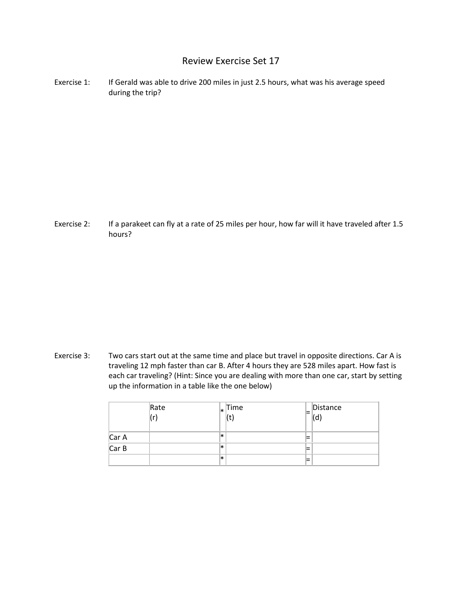## Review Exercise Set 17

Exercise 1: If Gerald was able to drive 200 miles in just 2.5 hours, what was his average speed during the trip?

Exercise 2: If a parakeet can fly at a rate of 25 miles per hour, how far will it have traveled after 1.5 hours?

Exercise 3: Two cars start out at the same time and place but travel in opposite directions. Car A is traveling 12 mph faster than car B. After 4 hours they are 528 miles apart. How fast is each car traveling? (Hint: Since you are dealing with more than one car, start by setting up the information in a table like the one below)

|       | Rate<br>(r) |     | $\vert_*$ Time<br>$\frac{1}{2}$ | ⋿ | Distance<br>ď |
|-------|-------------|-----|---------------------------------|---|---------------|
| Car A |             | l∗  |                                 | = |               |
| Car B |             | l∗k |                                 | = |               |
|       |             | l∗k |                                 | = |               |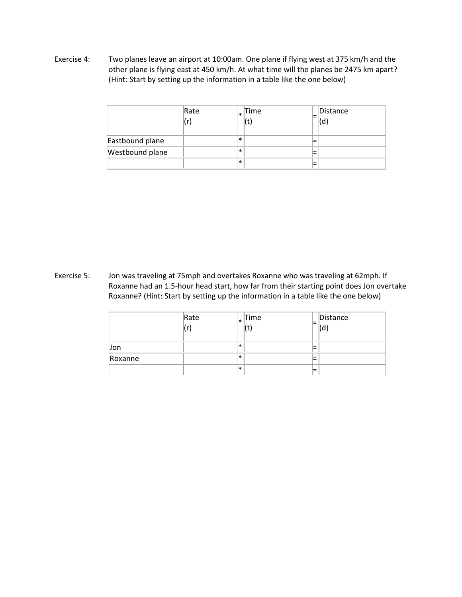Exercise 4: Two planes leave an airport at 10:00am. One plane if flying west at 375 km/h and the other plane is flying east at 450 km/h. At what time will the planes be 2475 km apart? (Hint: Start by setting up the information in a table like the one below)

|                 | Rate | l∗k    | Time | Distance<br>(d) |
|-----------------|------|--------|------|-----------------|
| Eastbound plane |      | $\ast$ |      |                 |
| Westbound plane |      | $\ast$ |      |                 |
|                 |      | l∗k    |      |                 |

Exercise 5: Jon was traveling at 75mph and overtakes Roxanne who was traveling at 62mph. If Roxanne had an 1.5-hour head start, how far from their starting point does Jon overtake Roxanne? (Hint: Start by setting up the information in a table like the one below)

|         | Rate | l∗. | Time | Distance<br>u |
|---------|------|-----|------|---------------|
| Jon     |      | l*  |      |               |
| Roxanne |      | l∗k |      |               |
|         |      | l∗k |      |               |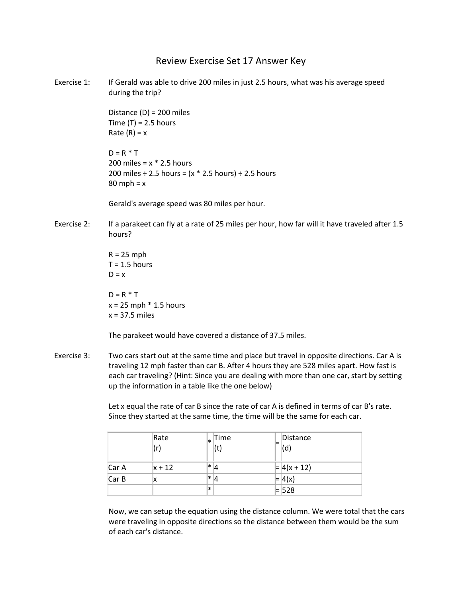## Review Exercise Set 17 Answer Key

Exercise 1: If Gerald was able to drive 200 miles in just 2.5 hours, what was his average speed during the trip?

> Distance (D) = 200 miles Time  $(T) = 2.5$  hours Rate  $(R) = x$

 $D = R * T$ 200 miles =  $x * 2.5$  hours 200 miles  $\div$  2.5 hours = (x  $*$  2.5 hours)  $\div$  2.5 hours  $80$  mph =  $x$ 

Gerald's average speed was 80 miles per hour.

Exercise 2: If a parakeet can fly at a rate of 25 miles per hour, how far will it have traveled after 1.5 hours?

> $R = 25$  mph  $T = 1.5$  hours  $D = x$  $D = R * T$  $x = 25$  mph  $*$  1.5 hours  $x = 37.5$  miles

The parakeet would have covered a distance of 37.5 miles.

Exercise 3: Two cars start out at the same time and place but travel in opposite directions. Car A is traveling 12 mph faster than car B. After 4 hours they are 528 miles apart. How fast is each car traveling? (Hint: Since you are dealing with more than one car, start by setting up the information in a table like the one below)

> Let x equal the rate of car B since the rate of car A is defined in terms of car B's rate. Since they started at the same time, the time will be the same for each car.

|       | Rate<br>(r) | ×      | Time<br>(t) | Distance<br>$\sf (d)$ |
|-------|-------------|--------|-------------|-----------------------|
| Car A | $x + 12$    | *  4   |             | $=  4(x + 12) $       |
| Car B |             | *  4   |             | $=  4(x) $            |
|       |             | $\ast$ |             | $= 528$               |

Now, we can setup the equation using the distance column. We were total that the cars were traveling in opposite directions so the distance between them would be the sum of each car's distance.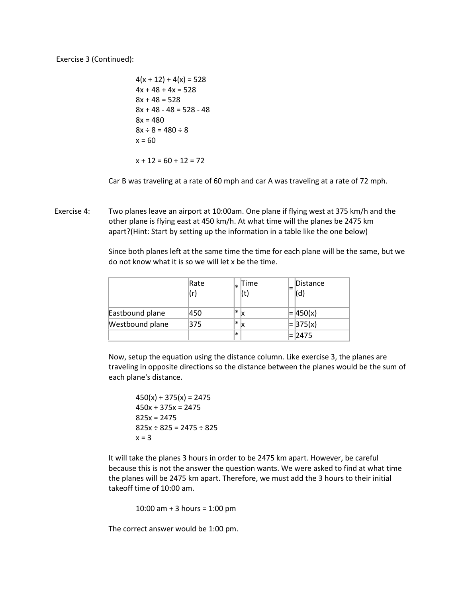Exercise 3 (Continued):

 $4(x + 12) + 4(x) = 528$  $4x + 48 + 4x = 528$  $8x + 48 = 528$  $8x + 48 - 48 = 528 - 48$  $8x = 480$  $8x \div 8 = 480 \div 8$  $x = 60$  $x + 12 = 60 + 12 = 72$ 

Car B was traveling at a rate of 60 mph and car A was traveling at a rate of 72 mph.

Exercise 4: Two planes leave an airport at 10:00am. One plane if flying west at 375 km/h and the other plane is flying east at 450 km/h. At what time will the planes be 2475 km apart?(Hint: Start by setting up the information in a table like the one below)

> Since both planes left at the same time the time for each plane will be the same, but we do not know what it is so we will let x be the time.

|                 | Rate<br>(r) | Time<br>(t)                   | Distance<br>(d |
|-----------------|-------------|-------------------------------|----------------|
| Eastbound plane | 450         | $\left *\right _{\mathsf{X}}$ | 450(x)         |
| Westbound plane | 375         | $\ast$                        | $= 375(x)$     |
|                 |             | ∗                             | 2475           |

Now, setup the equation using the distance column. Like exercise 3, the planes are traveling in opposite directions so the distance between the planes would be the sum of each plane's distance.

 $450(x) + 375(x) = 2475$  $450x + 375x = 2475$ 825x = 2475  $825x \div 825 = 2475 \div 825$  $x = 3$ 

It will take the planes 3 hours in order to be 2475 km apart. However, be careful because this is not the answer the question wants. We were asked to find at what time the planes will be 2475 km apart. Therefore, we must add the 3 hours to their initial takeoff time of 10:00 am.

10:00 am + 3 hours = 1:00 pm

The correct answer would be 1:00 pm.